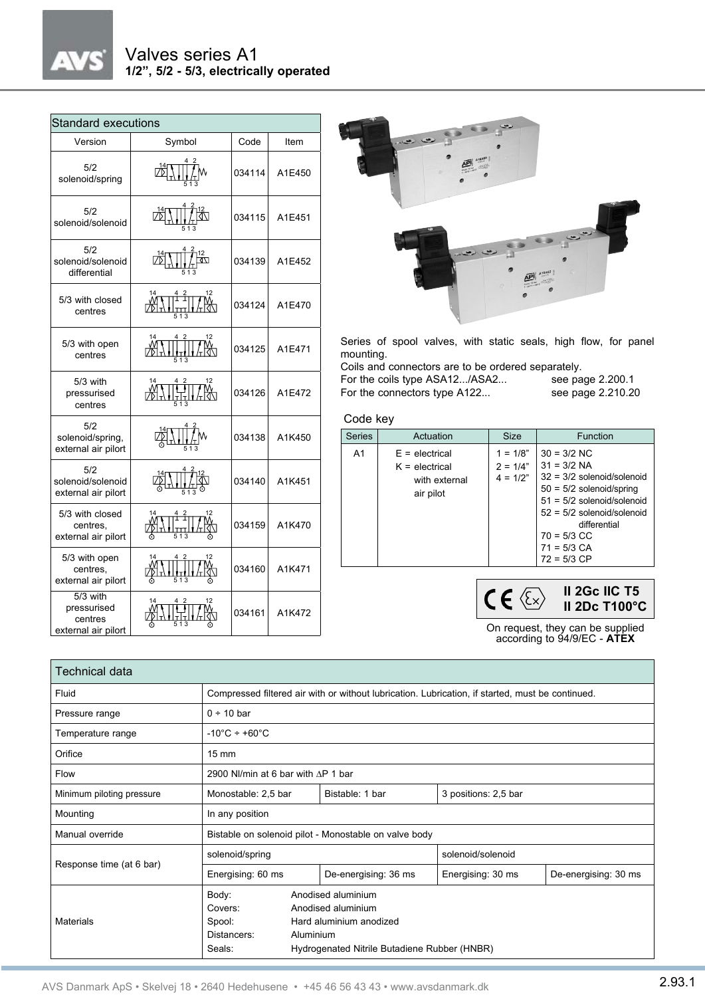

| <b>Standard executions</b>                                |                        |        |        |  |  |  |  |  |  |
|-----------------------------------------------------------|------------------------|--------|--------|--|--|--|--|--|--|
| Version                                                   | Symbol                 | Code   | Item   |  |  |  |  |  |  |
| 5/2<br>solenoid/spring                                    |                        | 034114 | A1E450 |  |  |  |  |  |  |
| 5/2<br>solenoid/solenoid                                  | 513                    | 034115 | A1E451 |  |  |  |  |  |  |
| 5/2<br>solenoid/solenoid<br>differential                  |                        | 034139 | A1E452 |  |  |  |  |  |  |
| 5/3 with closed<br>centres                                | 12<br>14<br><b>TTT</b> | 034124 | A1E470 |  |  |  |  |  |  |
| 5/3 with open<br>centres                                  |                        | 034125 | A1E471 |  |  |  |  |  |  |
| $5/3$ with<br>pressurised<br>centres                      |                        | 034126 | A1E472 |  |  |  |  |  |  |
| 5/2<br>solenoid/spring,<br>external air pilort            |                        | 034138 | A1K450 |  |  |  |  |  |  |
| 5/2<br>solenoid/solenoid<br>external air pilort           |                        | 034140 | A1K451 |  |  |  |  |  |  |
| 5/3 with closed<br>centres.<br>external air pilort        |                        | 034159 | A1K470 |  |  |  |  |  |  |
| 5/3 with open<br>centres,<br>external air pilort          |                        | 034160 | A1K471 |  |  |  |  |  |  |
| 5/3 with<br>pressurised<br>centres<br>external air pilort |                        | 034161 | A1K472 |  |  |  |  |  |  |



Series of spool valves, with static seals, high flow, for panel mounting.

Coils and connectors are to be ordered separately.<br>For the coils type ASA12.../ASA2... see page 2.200.1 For the coils type ASA12.../ASA2...

For the connectors type A122... see page 2.210.20

## Code key

| <b>Series</b>  | Actuation                                                          | <b>Size</b>                            | Function                                                                                                                                                                                                                        |
|----------------|--------------------------------------------------------------------|----------------------------------------|---------------------------------------------------------------------------------------------------------------------------------------------------------------------------------------------------------------------------------|
| A <sub>1</sub> | $E =$ electrical<br>$K =$ electrical<br>with external<br>air pilot | $1 = 1/8"$<br>$2 = 1/4"$<br>$4 = 1/2"$ | $30 = 3/2$ NC<br>$31 = 3/2$ NA<br>$32 = 3/2$ solenoid/solenoid<br>$50 = 5/2$ solenoid/spring<br>$51 = 5/2$ solenoid/solenoid<br>$52 = 5/2$ solenoid/solenoid<br>differential<br>$70 = 5/3$ CC<br>$71 = 5/3$ CA<br>$72 = 5/3$ CP |
|                |                                                                    |                                        | II 2Gc IIC T5<br>II 2De T100°C.                                                                                                                                                                                                 |

On request, they can be supplied according to 94/9/EC - **ATEX**

**II 2Dc T100°C**

| Technical data            |                                                                                                                                                                                         |  |                      |                      |                      |  |  |  |
|---------------------------|-----------------------------------------------------------------------------------------------------------------------------------------------------------------------------------------|--|----------------------|----------------------|----------------------|--|--|--|
| Fluid                     | Compressed filtered air with or without lubrication. Lubrication, if started, must be continued.                                                                                        |  |                      |                      |                      |  |  |  |
| Pressure range            | $0 \div 10$ bar                                                                                                                                                                         |  |                      |                      |                      |  |  |  |
| Temperature range         | $-10^{\circ}$ C ÷ +60 $^{\circ}$ C                                                                                                                                                      |  |                      |                      |                      |  |  |  |
| Orifice                   | $15 \text{ mm}$                                                                                                                                                                         |  |                      |                      |                      |  |  |  |
| Flow                      | 2900 NI/min at 6 bar with $\triangle$ P 1 bar                                                                                                                                           |  |                      |                      |                      |  |  |  |
| Minimum piloting pressure | Monostable: 2,5 bar                                                                                                                                                                     |  | Bistable: 1 bar      | 3 positions: 2,5 bar |                      |  |  |  |
| Mounting                  | In any position                                                                                                                                                                         |  |                      |                      |                      |  |  |  |
| Manual override           | Bistable on solenoid pilot - Monostable on valve body                                                                                                                                   |  |                      |                      |                      |  |  |  |
| Response time (at 6 bar)  | solenoid/spring                                                                                                                                                                         |  | solenoid/solenoid    |                      |                      |  |  |  |
|                           | Energising: 60 ms                                                                                                                                                                       |  | De-energising: 36 ms | Energising: 30 ms    | De-energising: 30 ms |  |  |  |
| Materials                 | Anodised aluminium<br>Body:<br>Covers:<br>Anodised aluminium<br>Spool:<br>Hard aluminium anodized<br>Distancers:<br>Aluminium<br>Hydrogenated Nitrile Butadiene Rubber (HNBR)<br>Seals: |  |                      |                      |                      |  |  |  |